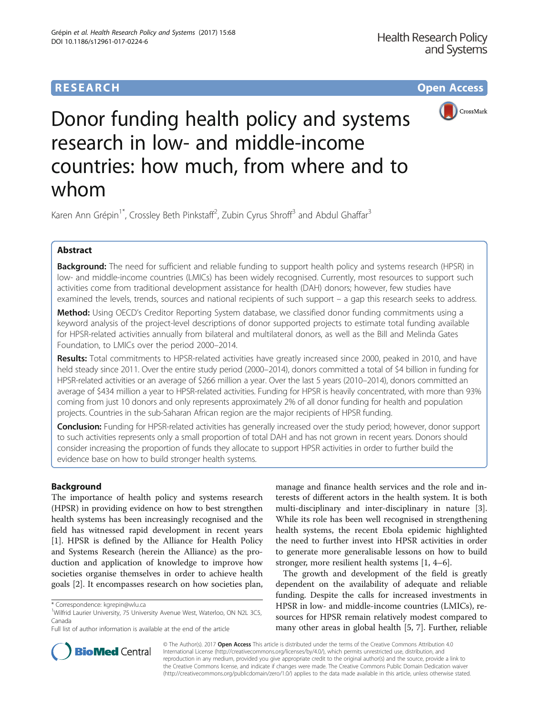# **RESEARCH CHE Open Access**



Donor funding health policy and systems research in low- and middle-income countries: how much, from where and to whom

Karen Ann Grépin<sup>1\*</sup>, Crossley Beth Pinkstaff<sup>2</sup>, Zubin Cyrus Shroff<sup>3</sup> and Abdul Ghaffar<sup>3</sup>

## Abstract

Background: The need for sufficient and reliable funding to support health policy and systems research (HPSR) in low- and middle-income countries (LMICs) has been widely recognised. Currently, most resources to support such activities come from traditional development assistance for health (DAH) donors; however, few studies have examined the levels, trends, sources and national recipients of such support – a gap this research seeks to address.

Method: Using OECD's Creditor Reporting System database, we classified donor funding commitments using a keyword analysis of the project-level descriptions of donor supported projects to estimate total funding available for HPSR-related activities annually from bilateral and multilateral donors, as well as the Bill and Melinda Gates Foundation, to LMICs over the period 2000–2014.

Results: Total commitments to HPSR-related activities have greatly increased since 2000, peaked in 2010, and have held steady since 2011. Over the entire study period (2000–2014), donors committed a total of \$4 billion in funding for HPSR-related activities or an average of \$266 million a year. Over the last 5 years (2010–2014), donors committed an average of \$434 million a year to HPSR-related activities. Funding for HPSR is heavily concentrated, with more than 93% coming from just 10 donors and only represents approximately 2% of all donor funding for health and population projects. Countries in the sub-Saharan African region are the major recipients of HPSR funding.

Conclusion: Funding for HPSR-related activities has generally increased over the study period; however, donor support to such activities represents only a small proportion of total DAH and has not grown in recent years. Donors should consider increasing the proportion of funds they allocate to support HPSR activities in order to further build the evidence base on how to build stronger health systems.

## Background

The importance of health policy and systems research (HPSR) in providing evidence on how to best strengthen health systems has been increasingly recognised and the field has witnessed rapid development in recent years [[1\]](#page-6-0). HPSR is defined by the Alliance for Health Policy and Systems Research (herein the Alliance) as the production and application of knowledge to improve how societies organise themselves in order to achieve health goals [[2](#page-7-0)]. It encompasses research on how societies plan,

manage and finance health services and the role and interests of different actors in the health system. It is both multi-disciplinary and inter-disciplinary in nature [\[3](#page-7-0)]. While its role has been well recognised in strengthening health systems, the recent Ebola epidemic highlighted the need to further invest into HPSR activities in order to generate more generalisable lessons on how to build stronger, more resilient health systems [[1](#page-6-0), [4](#page-7-0)–[6](#page-7-0)].

The growth and development of the field is greatly dependent on the availability of adequate and reliable funding. Despite the calls for increased investments in HPSR in low- and middle-income countries (LMICs), resources for HPSR remain relatively modest compared to many other areas in global health [[5, 7\]](#page-7-0). Further, reliable



© The Author(s). 2017 Open Access This article is distributed under the terms of the Creative Commons Attribution 4.0 International License [\(http://creativecommons.org/licenses/by/4.0/](http://creativecommons.org/licenses/by/4.0/)), which permits unrestricted use, distribution, and reproduction in any medium, provided you give appropriate credit to the original author(s) and the source, provide a link to the Creative Commons license, and indicate if changes were made. The Creative Commons Public Domain Dedication waiver [\(http://creativecommons.org/publicdomain/zero/1.0/](http://creativecommons.org/publicdomain/zero/1.0/)) applies to the data made available in this article, unless otherwise stated.

<sup>\*</sup> Correspondence: [kgrepin@wlu.ca](mailto:kgrepin@wlu.ca) <sup>1</sup>

<sup>&</sup>lt;sup>1</sup>Wilfrid Laurier University, 75 University Avenue West, Waterloo, ON N2L 3C5, Canada

Full list of author information is available at the end of the article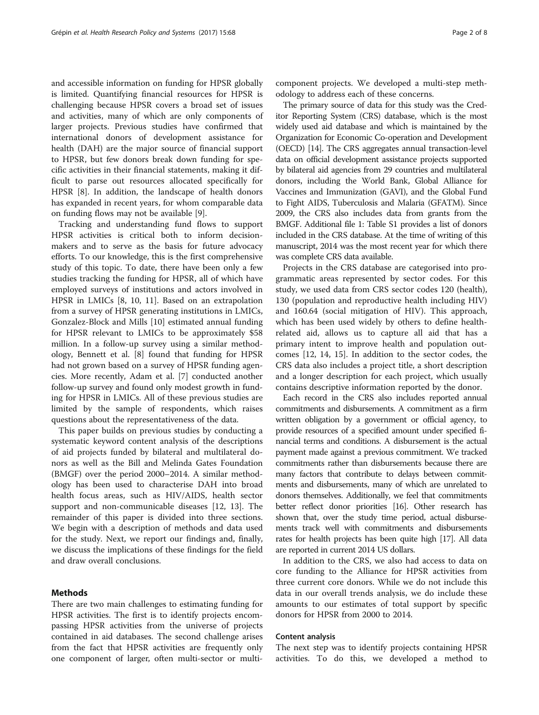and accessible information on funding for HPSR globally is limited. Quantifying financial resources for HPSR is challenging because HPSR covers a broad set of issues and activities, many of which are only components of larger projects. Previous studies have confirmed that international donors of development assistance for health (DAH) are the major source of financial support to HPSR, but few donors break down funding for specific activities in their financial statements, making it difficult to parse out resources allocated specifically for HPSR [[8\]](#page-7-0). In addition, the landscape of health donors has expanded in recent years, for whom comparable data on funding flows may not be available [[9](#page-7-0)].

Tracking and understanding fund flows to support HPSR activities is critical both to inform decisionmakers and to serve as the basis for future advocacy efforts. To our knowledge, this is the first comprehensive study of this topic. To date, there have been only a few studies tracking the funding for HPSR, all of which have employed surveys of institutions and actors involved in HPSR in LMICs [[8, 10](#page-7-0), [11](#page-7-0)]. Based on an extrapolation from a survey of HPSR generating institutions in LMICs, Gonzalez-Block and Mills [\[10](#page-7-0)] estimated annual funding for HPSR relevant to LMICs to be approximately \$58 million. In a follow-up survey using a similar methodology, Bennett et al. [\[8](#page-7-0)] found that funding for HPSR had not grown based on a survey of HPSR funding agencies. More recently, Adam et al. [\[7](#page-7-0)] conducted another follow-up survey and found only modest growth in funding for HPSR in LMICs. All of these previous studies are limited by the sample of respondents, which raises questions about the representativeness of the data.

This paper builds on previous studies by conducting a systematic keyword content analysis of the descriptions of aid projects funded by bilateral and multilateral donors as well as the Bill and Melinda Gates Foundation (BMGF) over the period 2000–2014. A similar methodology has been used to characterise DAH into broad health focus areas, such as HIV/AIDS, health sector support and non-communicable diseases [[12](#page-7-0), [13](#page-7-0)]. The remainder of this paper is divided into three sections. We begin with a description of methods and data used for the study. Next, we report our findings and, finally, we discuss the implications of these findings for the field and draw overall conclusions.

## Methods

There are two main challenges to estimating funding for HPSR activities. The first is to identify projects encompassing HPSR activities from the universe of projects contained in aid databases. The second challenge arises from the fact that HPSR activities are frequently only one component of larger, often multi-sector or multicomponent projects. We developed a multi-step methodology to address each of these concerns.

The primary source of data for this study was the Creditor Reporting System (CRS) database, which is the most widely used aid database and which is maintained by the Organization for Economic Co-operation and Development (OECD) [\[14\]](#page-7-0). The CRS aggregates annual transaction-level data on official development assistance projects supported by bilateral aid agencies from 29 countries and multilateral donors, including the World Bank, Global Alliance for Vaccines and Immunization (GAVI), and the Global Fund to Fight AIDS, Tuberculosis and Malaria (GFATM). Since 2009, the CRS also includes data from grants from the BMGF. Additional file [1](#page-6-0): Table S1 provides a list of donors included in the CRS database. At the time of writing of this manuscript, 2014 was the most recent year for which there was complete CRS data available.

Projects in the CRS database are categorised into programmatic areas represented by sector codes. For this study, we used data from CRS sector codes 120 (health), 130 (population and reproductive health including HIV) and 160.64 (social mitigation of HIV). This approach, which has been used widely by others to define healthrelated aid, allows us to capture all aid that has a primary intent to improve health and population outcomes [[12, 14](#page-7-0), [15](#page-7-0)]. In addition to the sector codes, the CRS data also includes a project title, a short description and a longer description for each project, which usually contains descriptive information reported by the donor.

Each record in the CRS also includes reported annual commitments and disbursements. A commitment as a firm written obligation by a government or official agency, to provide resources of a specified amount under specified financial terms and conditions. A disbursement is the actual payment made against a previous commitment. We tracked commitments rather than disbursements because there are many factors that contribute to delays between commitments and disbursements, many of which are unrelated to donors themselves. Additionally, we feel that commitments better reflect donor priorities [\[16](#page-7-0)]. Other research has shown that, over the study time period, actual disbursements track well with commitments and disbursements rates for health projects has been quite high [\[17](#page-7-0)]. All data are reported in current 2014 US dollars.

In addition to the CRS, we also had access to data on core funding to the Alliance for HPSR activities from three current core donors. While we do not include this data in our overall trends analysis, we do include these amounts to our estimates of total support by specific donors for HPSR from 2000 to 2014.

#### Content analysis

The next step was to identify projects containing HPSR activities. To do this, we developed a method to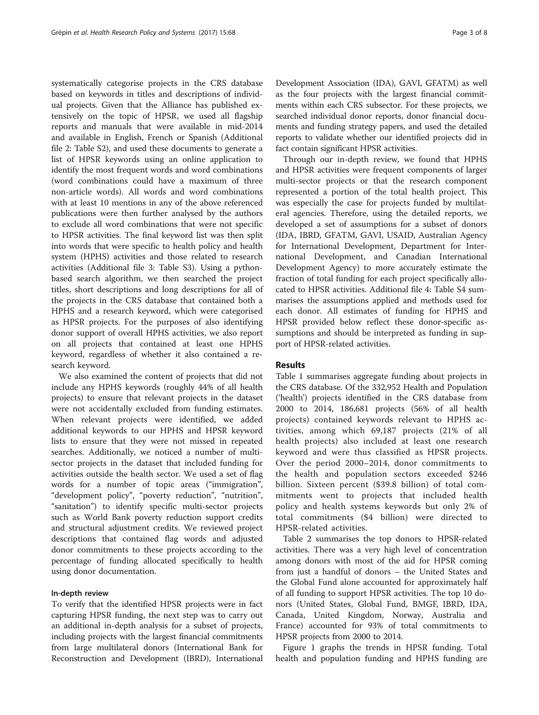systematically categorise projects in the CRS database based on keywords in titles and descriptions of individual projects. Given that the Alliance has published extensively on the topic of HPSR, we used all flagship reports and manuals that were available in mid-2014 and available in English, French or Spanish (Additional file [2:](#page-6-0) Table S2), and used these documents to generate a list of HPSR keywords using an online application to identify the most frequent words and word combinations (word combinations could have a maximum of three non-article words). All words and word combinations with at least 10 mentions in any of the above referenced publications were then further analysed by the authors to exclude all word combinations that were not specific to HPSR activities. The final keyword list was then split into words that were specific to health policy and health system (HPHS) activities and those related to research activities (Additional file [3:](#page-6-0) Table S3). Using a pythonbased search algorithm, we then searched the project titles, short descriptions and long descriptions for all of the projects in the CRS database that contained both a HPHS and a research keyword, which were categorised as HPSR projects. For the purposes of also identifying donor support of overall HPHS activities, we also report on all projects that contained at least one HPHS keyword, regardless of whether it also contained a research keyword.

We also examined the content of projects that did not include any HPHS keywords (roughly 44% of all health projects) to ensure that relevant projects in the dataset were not accidentally excluded from funding estimates. When relevant projects were identified, we added additional keywords to our HPHS and HPSR keyword lists to ensure that they were not missed in repeated searches. Additionally, we noticed a number of multisector projects in the dataset that included funding for activities outside the health sector. We used a set of flag words for a number of topic areas ("immigration", "development policy", "poverty reduction", "nutrition", "sanitation") to identify specific multi-sector projects such as World Bank poverty reduction support credits and structural adjustment credits. We reviewed project descriptions that contained flag words and adjusted donor commitments to these projects according to the percentage of funding allocated specifically to health using donor documentation.

### In-depth review

To verify that the identified HPSR projects were in fact capturing HPSR funding, the next step was to carry out an additional in-depth analysis for a subset of projects, including projects with the largest financial commitments from large multilateral donors (International Bank for Reconstruction and Development (IBRD), International

Development Association (IDA), GAVI, GFATM) as well as the four projects with the largest financial commitments within each CRS subsector. For these projects, we searched individual donor reports, donor financial documents and funding strategy papers, and used the detailed reports to validate whether our identified projects did in fact contain significant HPSR activities.

Through our in-depth review, we found that HPHS and HPSR activities were frequent components of larger multi-sector projects or that the research component represented a portion of the total health project. This was especially the case for projects funded by multilateral agencies. Therefore, using the detailed reports, we developed a set of assumptions for a subset of donors (IDA, IBRD, GFATM, GAVI, USAID, Australian Agency for International Development, Department for International Development, and Canadian International Development Agency) to more accurately estimate the fraction of total funding for each project specifically allocated to HPSR activities. Additional file [4:](#page-6-0) Table S4 summarises the assumptions applied and methods used for each donor. All estimates of funding for HPHS and HPSR provided below reflect these donor-specific assumptions and should be interpreted as funding in support of HPSR-related activities.

## Results

Table [1](#page-3-0) summarises aggregate funding about projects in the CRS database. Of the 332,952 Health and Population ('health') projects identified in the CRS database from 2000 to 2014, 186,681 projects (56% of all health projects) contained keywords relevant to HPHS activities, among which 69,187 projects (21% of all health projects) also included at least one research keyword and were thus classified as HPSR projects. Over the period 2000–2014, donor commitments to the health and population sectors exceeded \$246 billion. Sixteen percent (\$39.8 billion) of total commitments went to projects that included health policy and health systems keywords but only 2% of total commitments (\$4 billion) were directed to HPSR-related activities.

Table [2](#page-4-0) summarises the top donors to HPSR-related activities. There was a very high level of concentration among donors with most of the aid for HPSR coming from just a handful of donors – the United States and the Global Fund alone accounted for approximately half of all funding to support HPSR activities. The top 10 donors (United States, Global Fund, BMGF, IBRD, IDA, Canada, United Kingdom, Norway, Australia and France) accounted for 93% of total commitments to HPSR projects from 2000 to 2014.

Figure [1](#page-5-0) graphs the trends in HPSR funding. Total health and population funding and HPHS funding are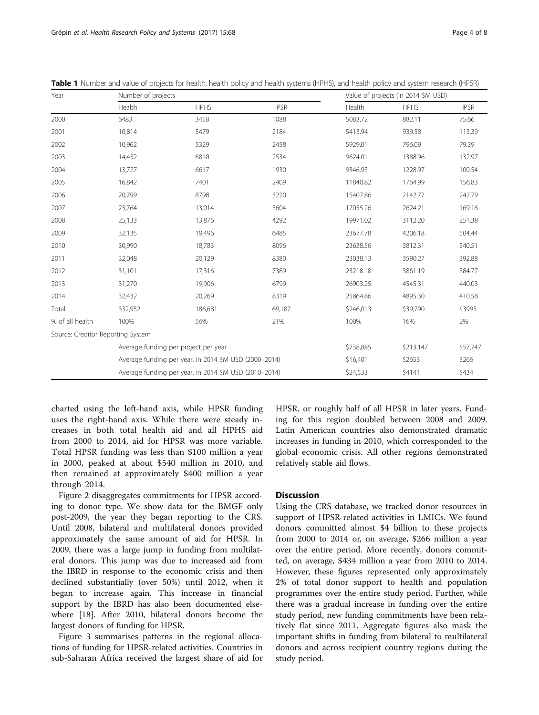| Year                              | Number of projects                                    |             |             | Value of projects (in 2014 \$M USD) |             |             |
|-----------------------------------|-------------------------------------------------------|-------------|-------------|-------------------------------------|-------------|-------------|
|                                   | Health                                                | <b>HPHS</b> | <b>HPSR</b> | Health                              | <b>HPHS</b> | <b>HPSR</b> |
| 2000                              | 6483                                                  | 3458        | 1088        | 5083.72                             | 882.11      | 75.66       |
| 2001                              | 10,814                                                | 5479        | 2184        | 5413.94                             | 939.58      | 113.39      |
| 2002                              | 10,962                                                | 5329        | 2458        | 5929.01                             | 796.09      | 79.39       |
| 2003                              | 14,452                                                | 6810        | 2534        | 9624.01                             | 1388.96     | 132.97      |
| 2004                              | 13,727                                                | 6617        | 1930        | 9346.93                             | 1228.97     | 100.54      |
| 2005                              | 16,842                                                | 7401        | 2409        | 11840.82                            | 1764.99     | 156.83      |
| 2006                              | 20,799                                                | 8798        | 3220        | 15407.86                            | 2142.77     | 242.79      |
| 2007                              | 23,764                                                | 13,014      | 3604        | 17055.26                            | 2624.21     | 169.16      |
| 2008                              | 25,133                                                | 13,876      | 4292        | 19971.02                            | 3112.20     | 251.38      |
| 2009                              | 32,135                                                | 19,496      | 6485        | 23677.78                            | 4206.18     | 504.44      |
| 2010                              | 30,990                                                | 18,783      | 8096        | 23638.56                            | 3812.31     | 540.51      |
| 2011                              | 32,048                                                | 20,129      | 8380        | 23038.13                            | 3590.27     | 392.88      |
| 2012                              | 31,101                                                | 17,316      | 7389        | 23218.18                            | 3861.19     | 384.77      |
| 2013                              | 31,270                                                | 19,906      | 6799        | 26903.25                            | 4545.31     | 440.03      |
| 2014                              | 32,432                                                | 20,269      | 8319        | 25864.86                            | 4895.30     | 410.58      |
| Total                             | 332,952                                               | 186,681     | 69,187      | \$246,013                           | \$39.790    | \$3995      |
| % of all health                   | 100%                                                  | 56%         | 21%         | 100%                                | 16%         | 2%          |
| Source: Creditor Reporting System |                                                       |             |             |                                     |             |             |
|                                   | Average funding per project per year                  |             |             | \$738,885                           | \$213,147   | \$57,747    |
|                                   | Average funding per year, in 2014 \$M USD (2000-2014) |             |             | \$16,401                            | \$2653      | \$266       |
|                                   | Average funding per year, in 2014 \$M USD (2010-2014) |             |             | \$24,533                            | \$4141      | \$434       |

<span id="page-3-0"></span>Table 1 Number and value of projects for health, health policy and health systems (HPHS), and health policy and system research (HPSR)

charted using the left-hand axis, while HPSR funding uses the right-hand axis. While there were steady increases in both total health aid and all HPHS aid from 2000 to 2014, aid for HPSR was more variable. Total HPSR funding was less than \$100 million a year in 2000, peaked at about \$540 million in 2010, and then remained at approximately \$400 million a year through 2014.

Figure [2](#page-5-0) disaggregates commitments for HPSR according to donor type. We show data for the BMGF only post-2009, the year they began reporting to the CRS. Until 2008, bilateral and multilateral donors provided approximately the same amount of aid for HPSR. In 2009, there was a large jump in funding from multilateral donors. This jump was due to increased aid from the IBRD in response to the economic crisis and then declined substantially (over 50%) until 2012, when it began to increase again. This increase in financial support by the IBRD has also been documented elsewhere [[18](#page-7-0)]. After 2010, bilateral donors become the largest donors of funding for HPSR.

Figure [3](#page-6-0) summarises patterns in the regional allocations of funding for HPSR-related activities. Countries in sub-Saharan Africa received the largest share of aid for HPSR, or roughly half of all HPSR in later years. Funding for this region doubled between 2008 and 2009. Latin American countries also demonstrated dramatic increases in funding in 2010, which corresponded to the global economic crisis. All other regions demonstrated relatively stable aid flows.

## **Discussion**

Using the CRS database, we tracked donor resources in support of HPSR-related activities in LMICs. We found donors committed almost \$4 billion to these projects from 2000 to 2014 or, on average, \$266 million a year over the entire period. More recently, donors committed, on average, \$434 million a year from 2010 to 2014. However, these figures represented only approximately 2% of total donor support to health and population programmes over the entire study period. Further, while there was a gradual increase in funding over the entire study period, new funding commitments have been relatively flat since 2011. Aggregate figures also mask the important shifts in funding from bilateral to multilateral donors and across recipient country regions during the study period.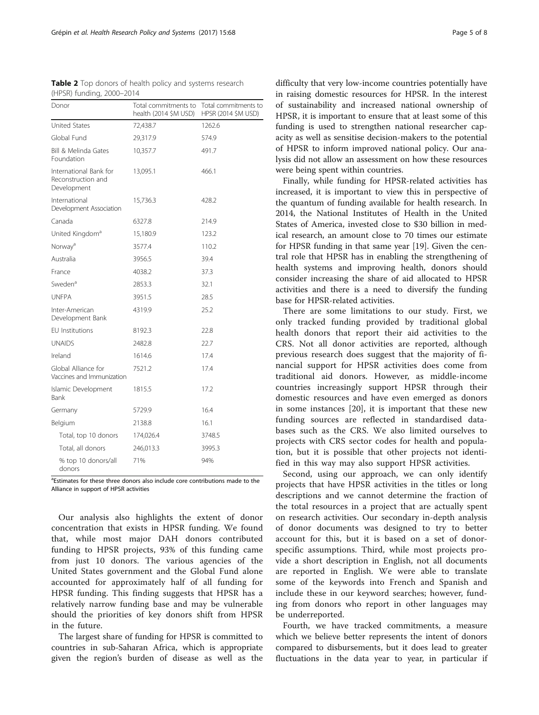| Donor                                                       | Total commitments to<br>health (2014 \$M USD) | Total commitments to<br>HPSR (2014 \$M USD) |  |
|-------------------------------------------------------------|-----------------------------------------------|---------------------------------------------|--|
| <b>United States</b>                                        | 72,438.7                                      | 1262.6                                      |  |
| Global Fund                                                 | 29,317.9                                      | 574.9                                       |  |
| Bill & Melinda Gates<br>Foundation                          | 10,357.7                                      | 491.7                                       |  |
| International Bank for<br>Reconstruction and<br>Development | 13,095.1                                      | 466.1                                       |  |
| International<br>Development Association                    | 15,736.3                                      | 428.2                                       |  |
| Canada                                                      | 6327.8                                        | 214.9                                       |  |
| United Kingdom <sup>a</sup>                                 | 15,180.9                                      | 123.2                                       |  |
| Norway <sup>a</sup>                                         | 3577.4                                        | 110.2                                       |  |
| Australia                                                   | 3956.5                                        | 39.4                                        |  |
| France                                                      | 4038.2                                        | 37.3                                        |  |
| Sweden <sup>a</sup>                                         | 2853.3                                        | 32.1                                        |  |
| <b>UNFPA</b>                                                | 3951.5                                        | 28.5                                        |  |
| Inter-American<br>Development Bank                          | 4319.9                                        | 25.2                                        |  |
| <b>EU</b> Institutions                                      | 8192.3                                        | 22.8                                        |  |
| <b>UNAIDS</b>                                               | 2482.8                                        | 22.7                                        |  |
| Ireland                                                     | 1614.6                                        | 17.4                                        |  |
| Global Alliance for<br>Vaccines and Immunization            | 7521.2                                        | 17.4                                        |  |
| Islamic Development<br>Bank                                 | 1815.5                                        | 17.2                                        |  |
| Germany                                                     | 5729.9                                        | 16.4                                        |  |
| Belgium                                                     | 2138.8                                        | 16.1                                        |  |
| Total, top 10 donors                                        | 174,026.4                                     | 3748.5                                      |  |
| Total, all donors                                           | 246,013.3                                     | 3995.3                                      |  |
| % top 10 donors/all<br>donors                               | 71%                                           | 94%                                         |  |

<span id="page-4-0"></span>Table 2 Top donors of health policy and systems research (HPSR) funding, 2000–2014

<sup>a</sup>Estimates for these three donors also include core contributions made to the Alliance in support of HPSR activities

Our analysis also highlights the extent of donor concentration that exists in HPSR funding. We found that, while most major DAH donors contributed funding to HPSR projects, 93% of this funding came from just 10 donors. The various agencies of the United States government and the Global Fund alone accounted for approximately half of all funding for HPSR funding. This finding suggests that HPSR has a relatively narrow funding base and may be vulnerable should the priorities of key donors shift from HPSR in the future.

The largest share of funding for HPSR is committed to countries in sub-Saharan Africa, which is appropriate given the region's burden of disease as well as the

difficulty that very low-income countries potentially have in raising domestic resources for HPSR. In the interest of sustainability and increased national ownership of HPSR, it is important to ensure that at least some of this funding is used to strengthen national researcher capacity as well as sensitise decision-makers to the potential of HPSR to inform improved national policy. Our analysis did not allow an assessment on how these resources were being spent within countries.

Finally, while funding for HPSR-related activities has increased, it is important to view this in perspective of the quantum of funding available for health research. In 2014, the National Institutes of Health in the United States of America, invested close to \$30 billion in medical research, an amount close to 70 times our estimate for HPSR funding in that same year [\[19\]](#page-7-0). Given the central role that HPSR has in enabling the strengthening of health systems and improving health, donors should consider increasing the share of aid allocated to HPSR activities and there is a need to diversify the funding base for HPSR-related activities.

There are some limitations to our study. First, we only tracked funding provided by traditional global health donors that report their aid activities to the CRS. Not all donor activities are reported, although previous research does suggest that the majority of financial support for HPSR activities does come from traditional aid donors. However, as middle-income countries increasingly support HPSR through their domestic resources and have even emerged as donors in some instances [[20\]](#page-7-0), it is important that these new funding sources are reflected in standardised databases such as the CRS. We also limited ourselves to projects with CRS sector codes for health and population, but it is possible that other projects not identified in this way may also support HPSR activities.

Second, using our approach, we can only identify projects that have HPSR activities in the titles or long descriptions and we cannot determine the fraction of the total resources in a project that are actually spent on research activities. Our secondary in-depth analysis of donor documents was designed to try to better account for this, but it is based on a set of donorspecific assumptions. Third, while most projects provide a short description in English, not all documents are reported in English. We were able to translate some of the keywords into French and Spanish and include these in our keyword searches; however, funding from donors who report in other languages may be underreported.

Fourth, we have tracked commitments, a measure which we believe better represents the intent of donors compared to disbursements, but it does lead to greater fluctuations in the data year to year, in particular if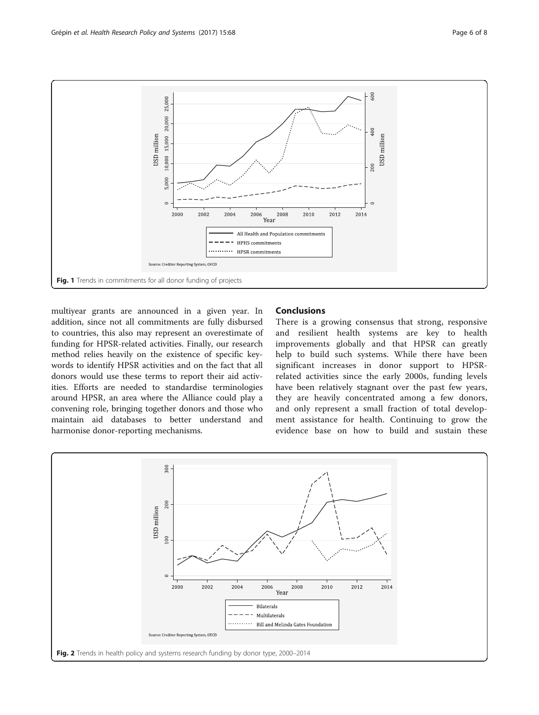<span id="page-5-0"></span>

multiyear grants are announced in a given year. In addition, since not all commitments are fully disbursed to countries, this also may represent an overestimate of funding for HPSR-related activities. Finally, our research method relies heavily on the existence of specific keywords to identify HPSR activities and on the fact that all donors would use these terms to report their aid activities. Efforts are needed to standardise terminologies around HPSR, an area where the Alliance could play a convening role, bringing together donors and those who maintain aid databases to better understand and harmonise donor-reporting mechanisms.

## Conclusions

There is a growing consensus that strong, responsive and resilient health systems are key to health improvements globally and that HPSR can greatly help to build such systems. While there have been significant increases in donor support to HPSRrelated activities since the early 2000s, funding levels have been relatively stagnant over the past few years, they are heavily concentrated among a few donors, and only represent a small fraction of total development assistance for health. Continuing to grow the evidence base on how to build and sustain these

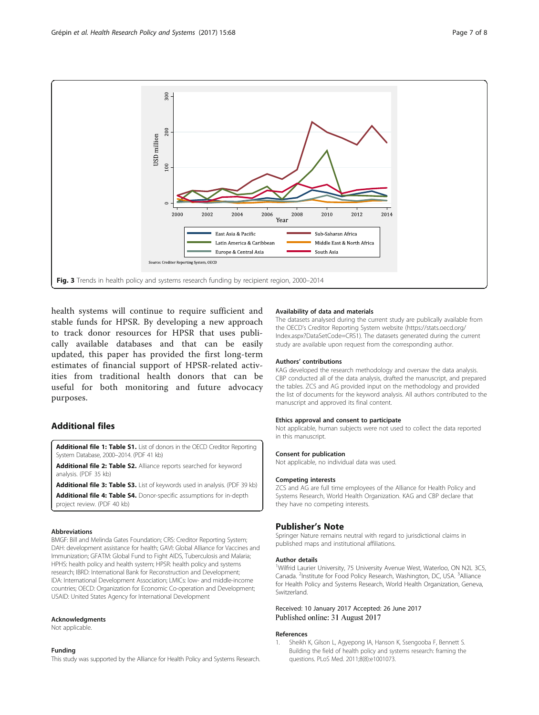<span id="page-6-0"></span>

health systems will continue to require sufficient and stable funds for HPSR. By developing a new approach to track donor resources for HPSR that uses publically available databases and that can be easily updated, this paper has provided the first long-term estimates of financial support of HPSR-related activities from traditional health donors that can be useful for both monitoring and future advocacy purposes.

## Additional files

[Additional file 1: Table S1.](dx.doi.org/10.1186/s12961-017-0224-6) List of donors in the OECD Creditor Reporting System Database, 2000–2014. (PDF 41 kb)

[Additional file 2: Table S2.](dx.doi.org/10.1186/s12961-017-0224-6) Alliance reports searched for keyword analysis. (PDF 35 kb)

[Additional file 3: Table S3.](dx.doi.org/10.1186/s12961-017-0224-6) List of keywords used in analysis. (PDF 39 kb) [Additional file 4: Table S4.](dx.doi.org/10.1186/s12961-017-0224-6) Donor-specific assumptions for in-depth

project review. (PDF 40 kb)

#### Abbreviations

BMGF: Bill and Melinda Gates Foundation; CRS: Creditor Reporting System; DAH: development assistance for health; GAVI: Global Alliance for Vaccines and Immunization; GFATM: Global Fund to Fight AIDS, Tuberculosis and Malaria; HPHS: health policy and health system; HPSR: health policy and systems research; IBRD: International Bank for Reconstruction and Development; IDA: International Development Association; LMICs: low- and middle-income countries; OECD: Organization for Economic Co-operation and Development; USAID: United States Agency for International Development

#### Acknowledgments

Not applicable.

### Funding

This study was supported by the Alliance for Health Policy and Systems Research.

### Availability of data and materials

The datasets analysed during the current study are publically available from the OECD's Creditor Reporting System website ([https://stats.oecd.org/](https://stats.oecd.org/Index.aspx?DataSetCode=CRS1) [Index.aspx?DataSetCode=CRS1](https://stats.oecd.org/Index.aspx?DataSetCode=CRS1)). The datasets generated during the current study are available upon request from the corresponding author.

#### Authors' contributions

KAG developed the research methodology and oversaw the data analysis. CBP conducted all of the data analysis, drafted the manuscript, and prepared the tables. ZCS and AG provided input on the methodology and provided the list of documents for the keyword analysis. All authors contributed to the manuscript and approved its final content.

#### Ethics approval and consent to participate

Not applicable, human subjects were not used to collect the data reported in this manuscript.

#### Consent for publication

Not applicable, no individual data was used.

#### Competing interests

ZCS and AG are full time employees of the Alliance for Health Policy and Systems Research, World Health Organization. KAG and CBP declare that they have no competing interests.

### Publisher's Note

Springer Nature remains neutral with regard to jurisdictional claims in published maps and institutional affiliations.

#### Author details

<sup>1</sup>Wilfrid Laurier University, 75 University Avenue West, Waterloo, ON N2L 3C5, Canada. <sup>2</sup>Institute for Food Policy Research, Washington, DC, USA. <sup>3</sup>Alliance for Health Policy and Systems Research, World Health Organization, Geneva, Switzerland.

#### Received: 10 January 2017 Accepted: 26 June 2017 Published online: 31 August 2017

#### References

Sheikh K, Gilson L, Agyepong IA, Hanson K, Ssengooba F, Bennett S. Building the field of health policy and systems research: framing the questions. PLoS Med. 2011;8(8):e1001073.